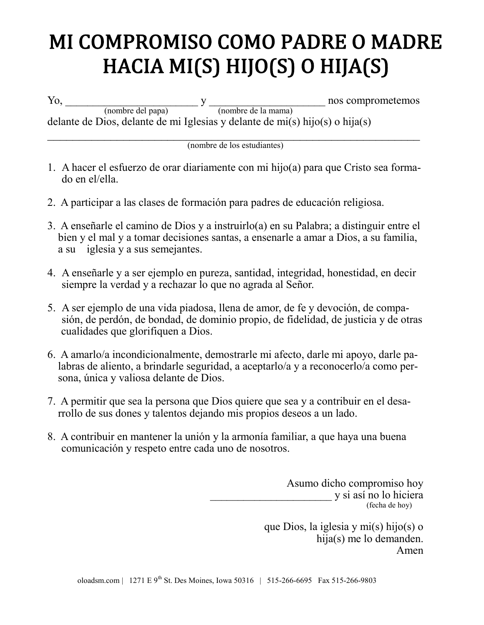## **MI COMPROMISO COMO PADRE O MADRE** HACIA MI(S) HIJO(S) O HIJA(S)

Yo, y contract the set of the set of the set of the set of the set of the set of the set of the set of the set of the set of the set of the set of the set of the set of the set of the set of the set of the set of the set o (nombre del papa) (nombre de la mama) delante de Dios, delante de mi Iglesias y delante de mi(s) hijo(s) o hija(s)  $\mathcal{L}_\text{max}$  , and the contract of the contract of the contract of the contract of the contract of the contract of the contract of the contract of the contract of the contract of the contract of the contract of the contr

(nombre de los estudiantes)

- 1. A hacer el esfuerzo de orar diariamente con mi hijo(a) para que Cristo sea formado en el/ella.
- 2. A participar a las clases de formación para padres de educación religiosa.
- 3. A enseñarle el camino de Dios y a instruirlo(a) en su Palabra; a distinguir entre el bien y el mal y a tomar decisiones santas, a ensenarle a amar a Dios, a su familia, a su iglesia y a sus semejantes.
- 4. A enseñarle y a ser ejemplo en pureza, santidad, integridad, honestidad, en decir siempre la verdad y a rechazar lo que no agrada al Señor.
- 5. A ser ejemplo de una vida piadosa, llena de amor, de fe y devoción, de compasión, de perdón, de bondad, de dominio propio, de fidelidad, de justicia y de otras cualidades que glorifiquen a Dios.
- 6. A amarlo/a incondicionalmente, demostrarle mi afecto, darle mi apoyo, darle palabras de aliento, a brindarle seguridad, a aceptarlo/a y a reconocerlo/a como persona, única y valiosa delante de Dios.
- 7. A permitir que sea la persona que Dios quiere que sea y a contribuir en el desarrollo de sus dones y talentos dejando mis propios deseos a un lado.
- 8. A contribuir en mantener la unión y la armonía familiar, a que haya una buena comunicación y respeto entre cada uno de nosotros.

Asumo dicho compromiso hoy \_\_\_\_\_\_\_\_\_\_\_\_\_\_\_\_\_\_\_\_\_\_ y si así no lo hiciera (fecha de hoy)

> que Dios, la iglesia y mi(s) hijo(s) o hija(s) me lo demanden. Amen